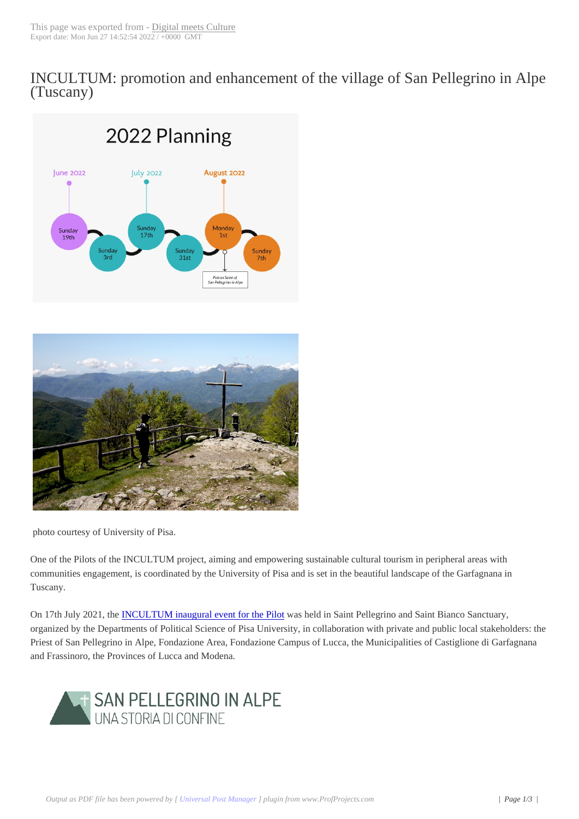INCULTUM: pro[motion and enh](https://www.digitalmeetsculture.net?p=58025&preview_id=58025)ancement of the village of San Pellegrino in Alpe (Tuscany)





photo courtesy of University of Pisa.

One of the Pilots of the INCULTUM project, aiming and empowering sustainable cultural tourism in peripheral areas with communities engagement, is coordinated by the University of Pisa and is set in the beautiful landscape of the Garfagnana in Tuscany.

On 17th July 2021, the **INCULTUM** inaugural event for the Pilot was held in Saint Pellegrino and Saint Bianco Sanctuary, organized by the Departments of Political Science of Pisa University, in collaboration with private and public local stakeholders: the Priest of San Pellegrino in Alpe, Fondazione Area, Fondazione Campus of Lucca, the Municipalities of Castiglione di Garfagnana and Frassinoro, the Pro[vinces of Lucca and Modena.](https://www.digitalmeetsculture.net/article/incultum-san-pellegrino-in-alpe/)